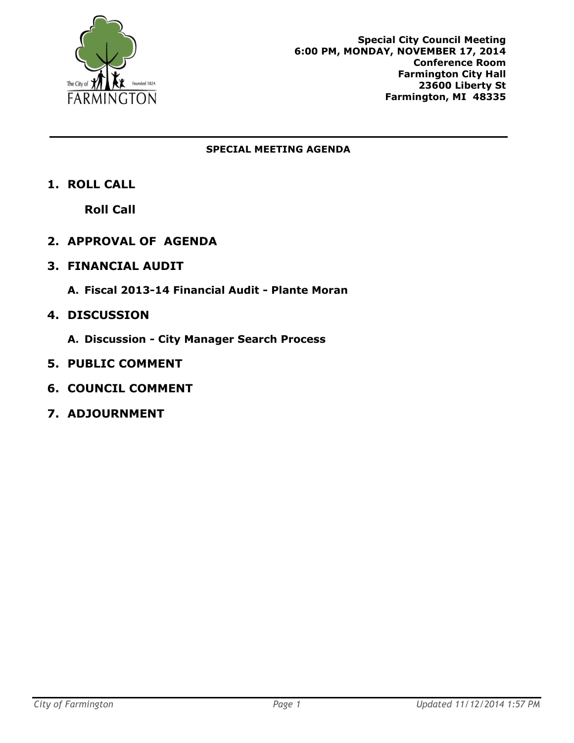

#### **SPECIAL MEETING AGENDA**

**1. ROLL CALL**

**Roll Call**

- **2. APPROVAL OF AGENDA**
- **3. FINANCIAL AUDIT**
	- **A. Fiscal 2013-14 Financial Audit - Plante Moran**
- **4. DISCUSSION**
	- **A. Discussion - City Manager Search Process**
- **5. PUBLIC COMMENT**
- **6. COUNCIL COMMENT**
- **7. ADJOURNMENT**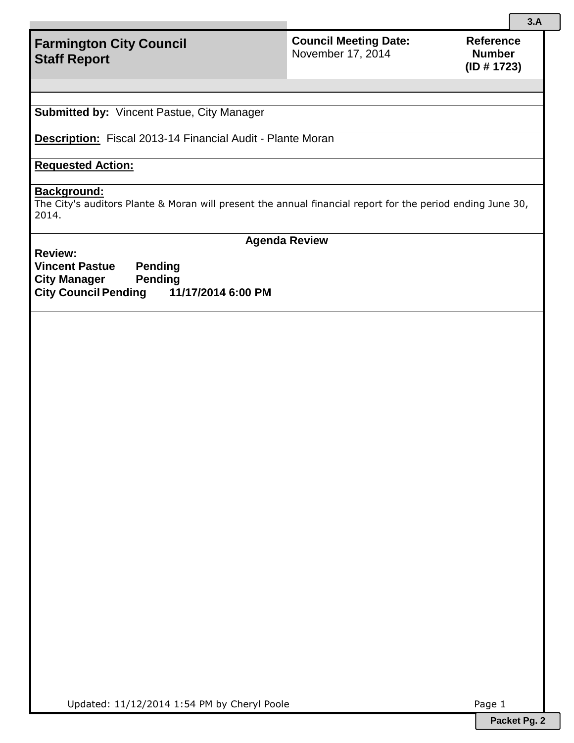# **Farmington City Council Staff Report**

### **Council Meeting Date:**  November 17, 2014

**Submitted by:** Vincent Pastue, City Manager

**Description:** Fiscal 2013-14 Financial Audit - Plante Moran

## **Requested Action:**

#### **Background:**

The City's auditors Plante & Moran will present the annual financial report for the period ending June 30, 2014.

**Review:**

**Agenda Review**

**Vincent Pastue Pending City Manager Pending City Council Pending 11/17/2014 6:00 PM**

Updated: 11/12/2014 1:54 PM by Cheryl Poole Page 1